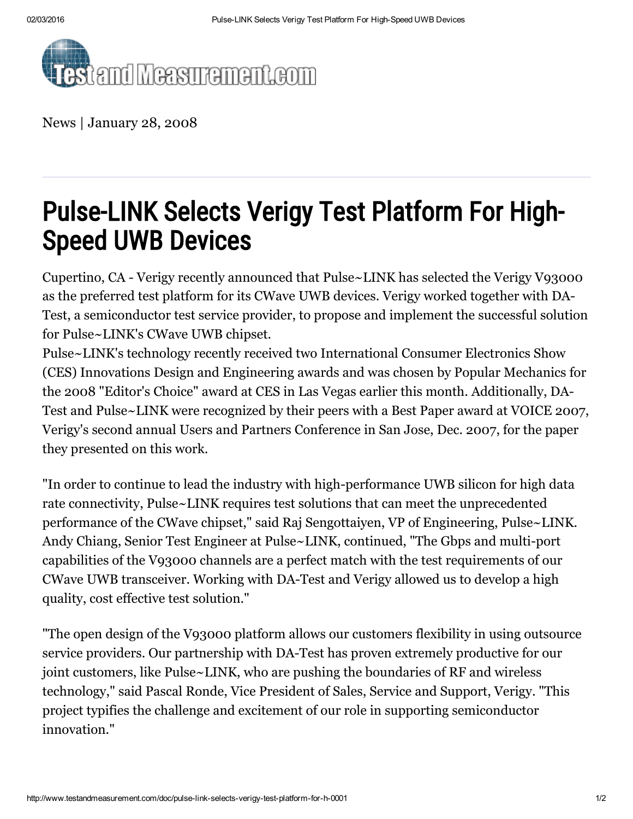

News | January 28, 2008

## Pulse-LINK Selects Verigy Test Platform For High-Speed UWB Devices

Cupertino, CA - Verigy recently announced that Pulse~LINK has selected the Verigy V93000 as the preferred test platform for its CWave UWB devices. Verigy worked together with DA-Test, a semiconductor test service provider, to propose and implement the successful solution for Pulse~LINK's CWave UWB chipset.

Pulse~LINK's technology recently received two International Consumer Electronics Show (CES) Innovations Design and Engineering awards and was chosen by Popular Mechanics for the 2008 "Editor's Choice" award at CES in Las Vegas earlier this month. Additionally, DA-Test and Pulse~LINK were recognized by their peers with a Best Paper award at VOICE 2007, Verigy's second annual Users and Partners Conference in San Jose, Dec. 2007, for the paper they presented on this work.

"In order to continue to lead the industry with high-performance UWB silicon for high data rate connectivity, Pulse~LINK requires test solutions that can meet the unprecedented performance of the CWave chipset," said Raj Sengottaiyen, VP of Engineering, Pulse~LINK. Andy Chiang, Senior Test Engineer at Pulse~LINK, continued, "The Gbps and multi-port capabilities of the V93000 channels are a perfect match with the test requirements of our CWave UWB transceiver. Working with DA-Test and Verigy allowed us to develop a high quality, cost effective test solution."

"The open design of the V93000 platform allows our customers flexibility in using outsource service providers. Our partnership with DA-Test has proven extremely productive for our joint customers, like Pulse~LINK, who are pushing the boundaries of RF and wireless technology," said Pascal Ronde, Vice President of Sales, Service and Support, Verigy. "This project typifies the challenge and excitement of our role in supporting semiconductor innovation."